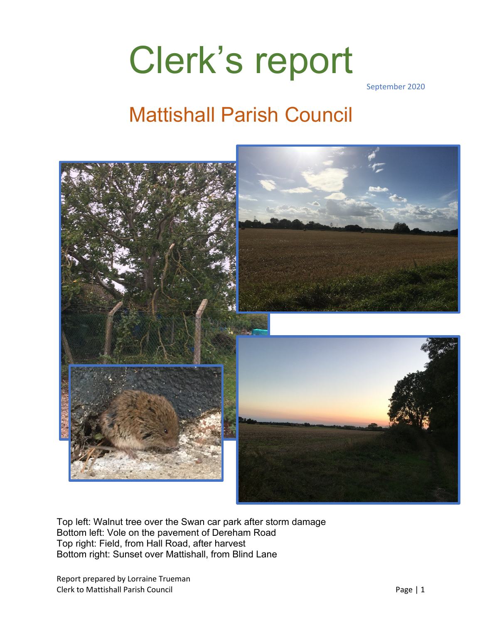# Clerk's report

September 2020

### Mattishall Parish Council



Top left: Walnut tree over the Swan car park after storm damage Bottom left: Vole on the pavement of Dereham Road Top right: Field, from Hall Road, after harvest Bottom right: Sunset over Mattishall, from Blind Lane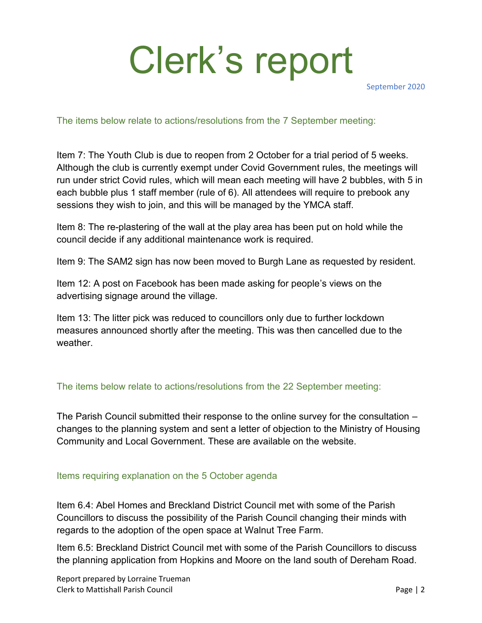# Clerk's report

September 2020

The items below relate to actions/resolutions from the 7 September meeting:

Item 7: The Youth Club is due to reopen from 2 October for a trial period of 5 weeks. Although the club is currently exempt under Covid Government rules, the meetings will run under strict Covid rules, which will mean each meeting will have 2 bubbles, with 5 in each bubble plus 1 staff member (rule of 6). All attendees will require to prebook any sessions they wish to join, and this will be managed by the YMCA staff.

Item 8: The re-plastering of the wall at the play area has been put on hold while the council decide if any additional maintenance work is required.

Item 9: The SAM2 sign has now been moved to Burgh Lane as requested by resident.

Item 12: A post on Facebook has been made asking for people's views on the advertising signage around the village.

Item 13: The litter pick was reduced to councillors only due to further lockdown measures announced shortly after the meeting. This was then cancelled due to the weather.

#### The items below relate to actions/resolutions from the 22 September meeting:

The Parish Council submitted their response to the online survey for the consultation – changes to the planning system and sent a letter of objection to the Ministry of Housing Community and Local Government. These are available on the website.

#### Items requiring explanation on the 5 October agenda

Item 6.4: Abel Homes and Breckland District Council met with some of the Parish Councillors to discuss the possibility of the Parish Council changing their minds with regards to the adoption of the open space at Walnut Tree Farm.

Item 6.5: Breckland District Council met with some of the Parish Councillors to discuss the planning application from Hopkins and Moore on the land south of Dereham Road.